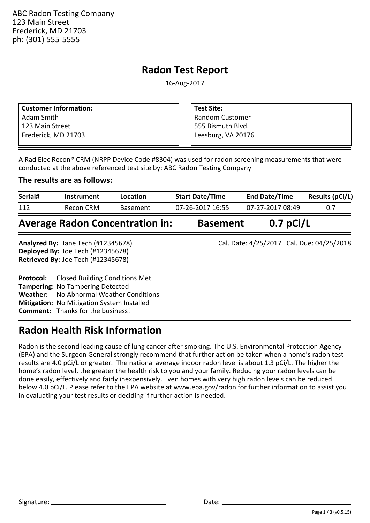ABC Radon Testing Company 123 Main Street Frederick, MD 21703 ph: (301) 555-5555

### **Radon Test Report**

16-Aug-2017

| <b>Customer Information:</b> | <b>Test Site:</b>  |
|------------------------------|--------------------|
| Adam Smith                   | Random Customer    |
| 123 Main Street              | 555 Bismuth Blvd.  |
| Frederick, MD 21703          | Leesburg, VA 20176 |
|                              |                    |

A Rad Elec Recon® CRM (NRPP Device Code #8304) was used for radon screening measurements that were conducted at the above referenced test site by: ABC Radon Testing Company

### **The results are as follows:**

| Serial#                                | Location<br>Instrument |                 | <b>Start Date/Time</b> | <b>End Date/Time</b> | <b>Results (pCi/L)</b> |  |
|----------------------------------------|------------------------|-----------------|------------------------|----------------------|------------------------|--|
| 112                                    | Recon CRM              | <b>Basement</b> | 07-26-2017 16:55       | 07-27-2017 08:49     | 0.7                    |  |
| <b>Average Radon Concentration in:</b> |                        |                 | <b>Basement</b>        | $0.7$ pCi/L          |                        |  |

**Deployed By:**  Joe Tech (#12345678) **Retrieved By:**  Joe Tech (#12345678) Analyzed By: Jane Tech (#12345678) **Analyzed By:** Cal. Date: 4/25/2017 Cal. Due: 04/25/2018

**Protocol: Tampering:**  No Tampering Detected **Weather:**  No Abnormal Weather Conditions **Mitigation:** No Mitigation System Installed **Comment:**  Thanks for the business! Closed Building Conditions Met

# **Radon Health Risk Information**

Radon is the second leading cause of lung cancer after smoking. The U.S. Environmental Protection Agency (EPA) and the Surgeon General strongly recommend that further action be taken when a home's radon test results are 4.0 pCi/L or greater. The national average indoor radon level is about 1.3 pCi/L. The higher the home's radon level, the greater the health risk to you and your family. Reducing your radon levels can be done easily, effectively and fairly inexpensively. Even homes with very high radon levels can be reduced below 4.0 pCi/L. Please refer to the EPA website at www.epa.gov/radon for further information to assist you in evaluating your test results or deciding if further action is needed.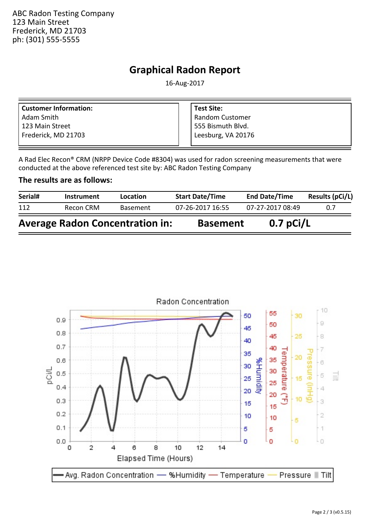ABC Radon Testing Company 123 Main Street Frederick, MD 21703 ph: (301) 555-5555

## **Graphical Radon Report**

16-Aug-2017

| <b>Customer Information:</b> | <b>Test Site:</b>      |
|------------------------------|------------------------|
| Adam Smith                   | <b>Random Customer</b> |
| l 123 Main Street            | l 555 Bismuth Blvd.    |
| Frederick, MD 21703          | Leesburg, VA 20176     |

A Rad Elec Recon® CRM (NRPP Device Code #8304) was used for radon screening measurements that were conducted at the above referenced test site by: ABC Radon Testing Company

#### **The results are as follows:**

| Serial#                                | <b>Instrument</b> | <b>Location</b> | <b>Start Date/Time</b> | <b>End Date/Time</b> | Results (pCi/L) |
|----------------------------------------|-------------------|-----------------|------------------------|----------------------|-----------------|
| 112                                    | Recon CRM         | <b>Basement</b> | 07-26-2017 16:55       | 07-27-2017 08:49     | 0.7             |
| <b>Average Radon Concentration in:</b> |                   |                 | <b>Basement</b>        | $0.7$ pCi/L          |                 |